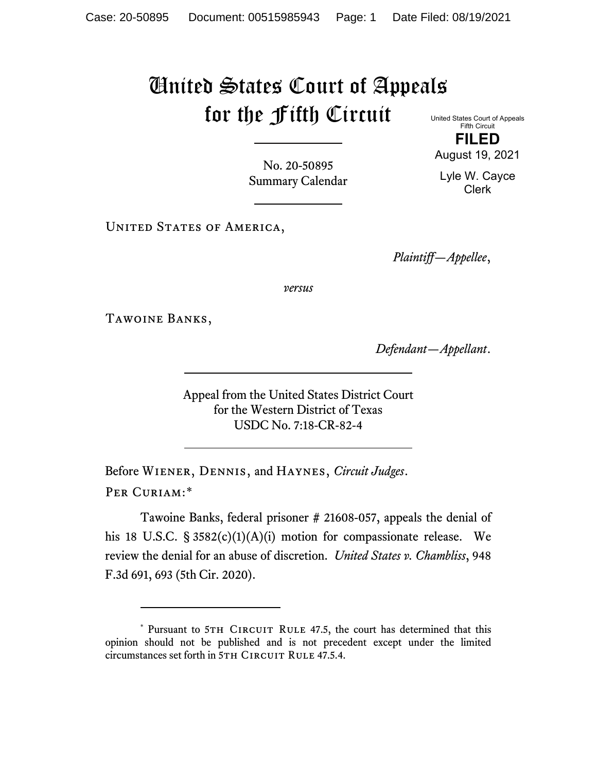## United States Court of Appeals for the Fifth Circuit United States Court of Appeals

Fifth Circuit **FILED**

August 19, 2021

Lyle W. Cayce Clerk

No. 20-50895 Summary Calendar

UNITED STATES OF AMERICA,

*Plaintiff—Appellee*,

*versus*

Tawoine Banks,

*Defendant—Appellant*.

Appeal from the United States District Court for the Western District of Texas USDC No. 7:18-CR-82-4

Before Wiener, Dennis, and Haynes, *Circuit Judges*. Per Curiam:[\\*](#page-0-0)

Tawoine Banks, federal prisoner # 21608-057, appeals the denial of his 18 U.S.C. § 3582(c)(1)(A)(i) motion for compassionate release. We review the denial for an abuse of discretion. *United States v. Chambliss*, 948 F.3d 691, 693 (5th Cir. 2020).

<span id="page-0-0"></span><sup>\*</sup> Pursuant to 5TH CIRCUIT RULE 47.5, the court has determined that this opinion should not be published and is not precedent except under the limited circumstances set forth in 5TH CIRCUIT RULE 47.5.4.